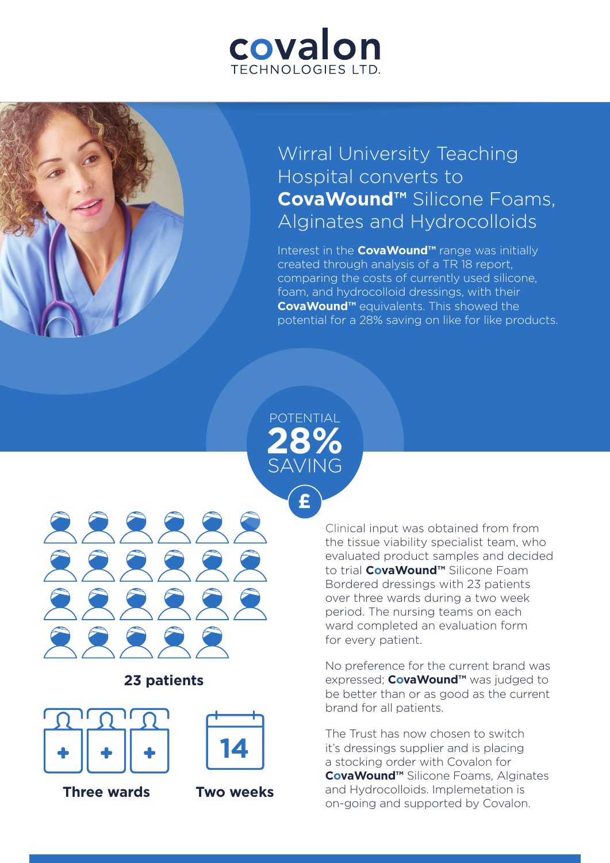# covalon TECHNOLOGIES LTD

## Wirral University Teaching Hospital converts to **CovaWound™** Silicone Foams, Alginates and Hydrocolloids

Interest in the **CovaWound™** range was initially created through analysis of a TR 18 report, comparing the costs of currently used silicone, foam, and hydrocolloid dressings, with their **CovaWound™** equivalents. This showed the potential for a 28% saving on like for like products.

## POTENTIAL **28%** SAVING

**£**



### **23 patients**





**Three wards Two weeks**



Clinical input was obtained from from the tissue viability specialist team, who evaluated product samples and decided to trial **CovaWound™** Silicone Foam Bordered dressings with 23 patients over three wards during a two week period. The nursing teams on each ward completed an evaluation form for every patient.

No preference for the current brand was expressed; **CovaWound™** was judged to be better than or as good as the current brand for all patients.

The Trust has now chosen to switch it's dressings supplier and is placing a stocking order with Covalon for **CovaWound™** Silicone Foams, Alginates and Hydrocolloids. Implemetation is on-going and supported by Covalon.